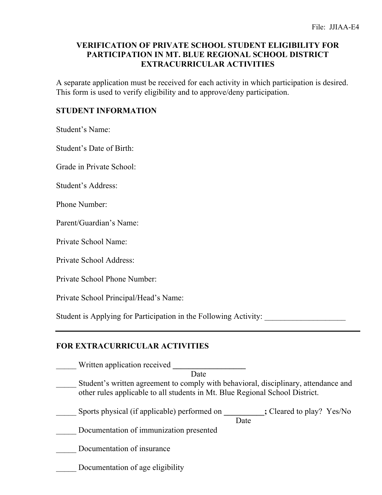## **VERIFICATION OF PRIVATE SCHOOL STUDENT ELIGIBILITY FOR PARTICIPATION IN MT. BLUE REGIONAL SCHOOL DISTRICT EXTRACURRICULAR ACTIVITIES**

A separate application must be received for each activity in which participation is desired. This form is used to verify eligibility and to approve/deny participation.

## **STUDENT INFORMATION**

Student's Name:

Student's Date of Birth:

Grade in Private School:

Student's Address:

Phone Number:

Parent/Guardian's Name:

Private School Name:

Private School Address:

Private School Phone Number:

Private School Principal/Head's Name:

Student is Applying for Participation in the Following Activity: \_\_\_\_\_\_\_\_\_\_\_\_\_\_\_

## **FOR EXTRACURRICULAR ACTIVITIES**

| Written application received                                                                                                                                        |      |                           |
|---------------------------------------------------------------------------------------------------------------------------------------------------------------------|------|---------------------------|
| Date                                                                                                                                                                |      |                           |
| Student's written agreement to comply with behavioral, disciplinary, attendance and<br>other rules applicable to all students in Mt. Blue Regional School District. |      |                           |
| Sports physical (if applicable) performed on                                                                                                                        | Date | ; Cleared to play? Yes/No |
| Documentation of immunization presented                                                                                                                             |      |                           |
| Documentation of insurance                                                                                                                                          |      |                           |
| Documentation of age eligibility                                                                                                                                    |      |                           |